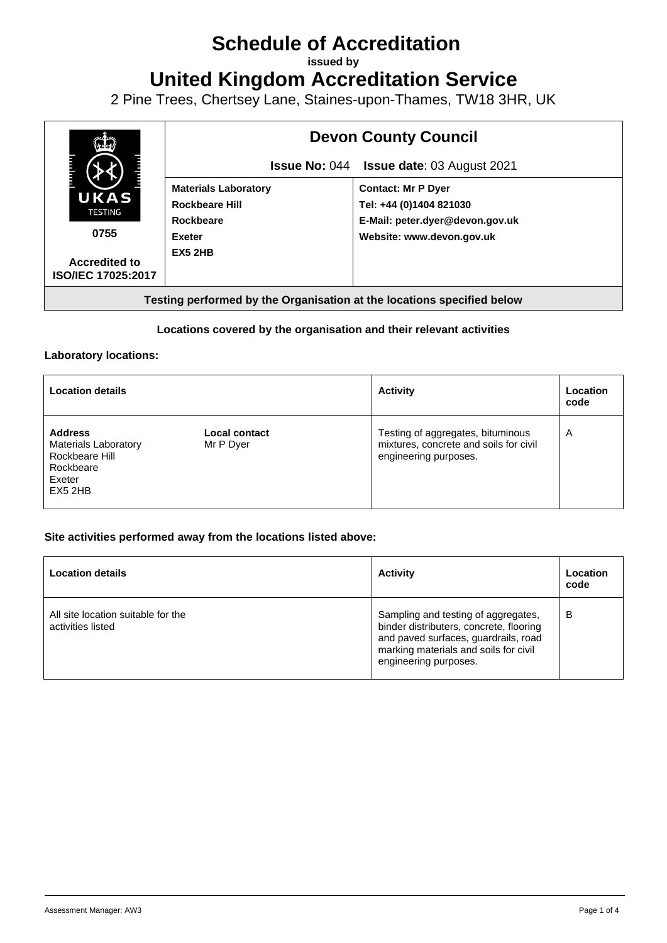# **Schedule of Accreditation**

**issued by**

**United Kingdom Accreditation Service**

2 Pine Trees, Chertsey Lane, Staines-upon-Thames, TW18 3HR, UK



### **Locations covered by the organisation and their relevant activities**

#### **Laboratory locations:**

| <b>Location details</b>                                                                          |                            | <b>Activity</b>                                                                                      | Location<br>code |
|--------------------------------------------------------------------------------------------------|----------------------------|------------------------------------------------------------------------------------------------------|------------------|
| <b>Address</b><br><b>Materials Laboratory</b><br>Rockbeare Hill<br>Rockbeare<br>Exeter<br>EX52HB | Local contact<br>Mr P Dyer | Testing of aggregates, bituminous<br>mixtures, concrete and soils for civil<br>engineering purposes. | A                |

#### **Site activities performed away from the locations listed above:**

| <b>Location details</b>                                 | <b>Activity</b>                                                                                                                                                                          | Location<br>code |
|---------------------------------------------------------|------------------------------------------------------------------------------------------------------------------------------------------------------------------------------------------|------------------|
| All site location suitable for the<br>activities listed | Sampling and testing of aggregates,<br>binder distributers, concrete, flooring<br>and paved surfaces, guardrails, road<br>marking materials and soils for civil<br>engineering purposes. | B                |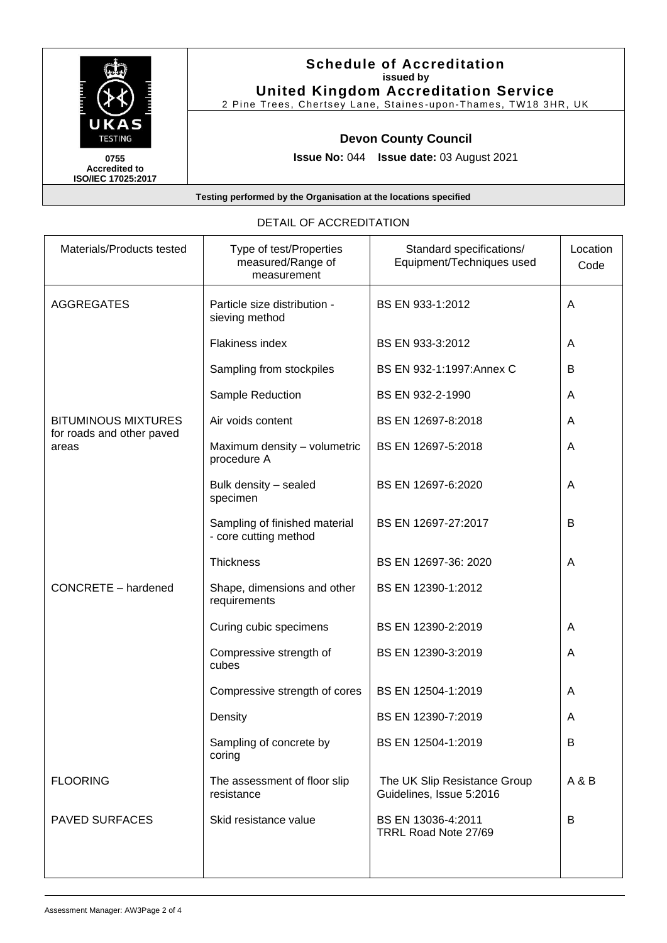

**Accredited to ISO/IEC 17025:2017**

# **Schedule of Accreditation issued by United Kingdom Accreditation Service**

2 Pine Trees, Chertsey Lane, Staines -upon -Thames, TW18 3HR, UK

## **Devon County Council**

**Issue No:** 044 **Issue date:** 03 August 2021

**Testing performed by the Organisation at the locations specified**

| Materials/Products tested                               | Type of test/Properties<br>measured/Range of<br>measurement | Standard specifications/<br>Equipment/Techniques used    | Location<br>Code |
|---------------------------------------------------------|-------------------------------------------------------------|----------------------------------------------------------|------------------|
| <b>AGGREGATES</b>                                       | Particle size distribution -<br>sieving method              | BS EN 933-1:2012                                         | A                |
|                                                         | Flakiness index                                             | BS EN 933-3:2012                                         | A                |
|                                                         | Sampling from stockpiles                                    | BS EN 932-1:1997:Annex C                                 | B                |
|                                                         | Sample Reduction                                            | BS EN 932-2-1990                                         | A                |
| <b>BITUMINOUS MIXTURES</b><br>for roads and other paved | Air voids content                                           | BS EN 12697-8:2018                                       | A                |
| areas                                                   | Maximum density - volumetric<br>procedure A                 | BS EN 12697-5:2018                                       | A                |
|                                                         | Bulk density - sealed<br>specimen                           | BS EN 12697-6:2020                                       | A                |
|                                                         | Sampling of finished material<br>- core cutting method      | BS EN 12697-27:2017                                      | B                |
|                                                         | Thickness                                                   | BS EN 12697-36: 2020                                     | A                |
| CONCRETE - hardened                                     | Shape, dimensions and other<br>requirements                 | BS EN 12390-1:2012                                       |                  |
|                                                         | Curing cubic specimens                                      | BS EN 12390-2:2019                                       | A                |
|                                                         | Compressive strength of<br>cubes                            | BS EN 12390-3:2019                                       | A                |
|                                                         | Compressive strength of cores                               | BS EN 12504-1:2019                                       | A                |
|                                                         | Density                                                     | BS EN 12390-7:2019                                       | A                |
|                                                         | Sampling of concrete by<br>coring                           | BS EN 12504-1:2019                                       | В                |
| <b>FLOORING</b>                                         | The assessment of floor slip<br>resistance                  | The UK Slip Resistance Group<br>Guidelines, Issue 5:2016 | A & B            |
| <b>PAVED SURFACES</b>                                   | Skid resistance value                                       | BS EN 13036-4:2011<br>TRRL Road Note 27/69               | B                |
|                                                         |                                                             |                                                          |                  |

#### DETAIL OF ACCREDITATION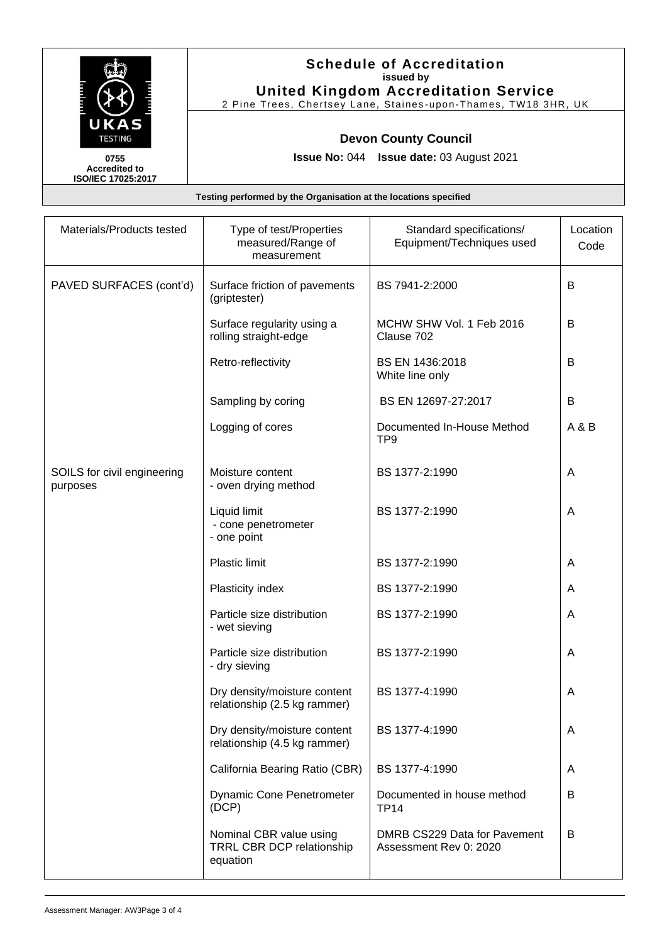

**Accredited to ISO/IEC 17025:2017**

## **Schedule of Accreditation issued by United Kingdom Accreditation Service**

2 Pine Trees, Chertsey Lane, Staines -upon -Thames, TW18 3HR, UK

# **Devon County Council**

**Issue No:** 044 **Issue date:** 03 August 2021

**Testing performed by the Organisation at the locations specified**

| Materials/Products tested               | Type of test/Properties<br>measured/Range of<br>measurement             | Standard specifications/<br>Equipment/Techniques used  | Location<br>Code |
|-----------------------------------------|-------------------------------------------------------------------------|--------------------------------------------------------|------------------|
| PAVED SURFACES (cont'd)                 | Surface friction of pavements<br>(griptester)                           | BS 7941-2:2000                                         | B                |
|                                         | Surface regularity using a<br>rolling straight-edge                     | MCHW SHW Vol. 1 Feb 2016<br>Clause 702                 | B                |
|                                         | Retro-reflectivity                                                      | BS EN 1436:2018<br>White line only                     | B                |
|                                         | Sampling by coring                                                      | BS EN 12697-27:2017                                    | B                |
|                                         | Logging of cores                                                        | Documented In-House Method<br>TP <sub>9</sub>          | A & B            |
| SOILS for civil engineering<br>purposes | Moisture content<br>- oven drying method                                | BS 1377-2:1990                                         | Α                |
|                                         | Liquid limit<br>- cone penetrometer<br>- one point                      | BS 1377-2:1990                                         | A                |
|                                         | <b>Plastic limit</b>                                                    | BS 1377-2:1990                                         | A                |
|                                         | Plasticity index                                                        | BS 1377-2:1990                                         | A                |
|                                         | Particle size distribution<br>- wet sieving                             | BS 1377-2:1990                                         | A                |
|                                         | Particle size distribution<br>- dry sieving                             | BS 1377-2:1990                                         | A                |
|                                         | Dry density/moisture content<br>relationship (2.5 kg rammer)            | BS 1377-4:1990                                         | A                |
|                                         | Dry density/moisture content<br>relationship (4.5 kg rammer)            | BS 1377-4:1990                                         | A                |
|                                         | California Bearing Ratio (CBR)                                          | BS 1377-4:1990                                         | Α                |
|                                         | <b>Dynamic Cone Penetrometer</b><br>(DCP)                               | Documented in house method<br><b>TP14</b>              | B                |
|                                         | Nominal CBR value using<br><b>TRRL CBR DCP relationship</b><br>equation | DMRB CS229 Data for Pavement<br>Assessment Rev 0: 2020 | B                |